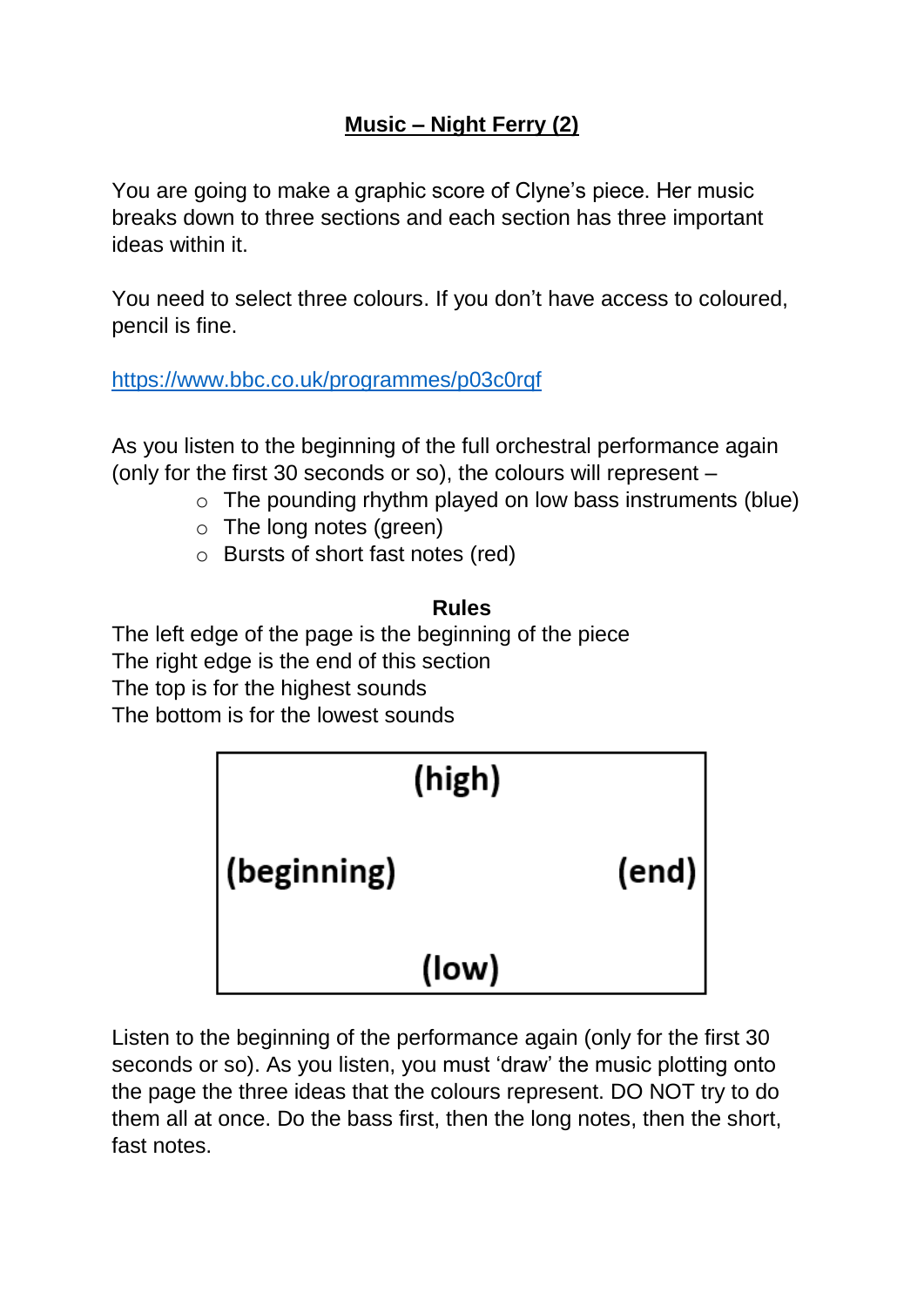## **Music – Night Ferry (2)**

You are going to make a graphic score of Clyne's piece. Her music breaks down to three sections and each section has three important ideas within it.

You need to select three colours. If you don't have access to coloured, pencil is fine.

<https://www.bbc.co.uk/programmes/p03c0rqf>

As you listen to the beginning of the full orchestral performance again (only for the first 30 seconds or so), the colours will represent –

- $\circ$  The pounding rhythm played on low bass instruments (blue)
- o The long notes (green)
- o Bursts of short fast notes (red)

## **Rules**

The left edge of the page is the beginning of the piece The right edge is the end of this section The top is for the highest sounds The bottom is for the lowest sounds



Listen to the beginning of the performance again (only for the first 30 seconds or so). As you listen, you must 'draw' the music plotting onto the page the three ideas that the colours represent. DO NOT try to do them all at once. Do the bass first, then the long notes, then the short, fast notes.